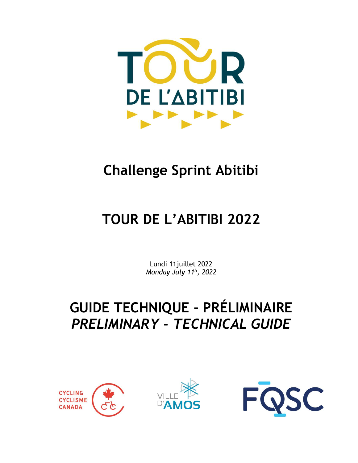

## **Challenge Sprint Abitibi**

# **TOUR DE L'ABITIBI 2022**

Lundi 11juillet 2022 *Monday July 11 h , 2022*

## **GUIDE TECHNIQUE - PRÉLIMINAIRE** *PRELIMINARY - TECHNICAL GUIDE*





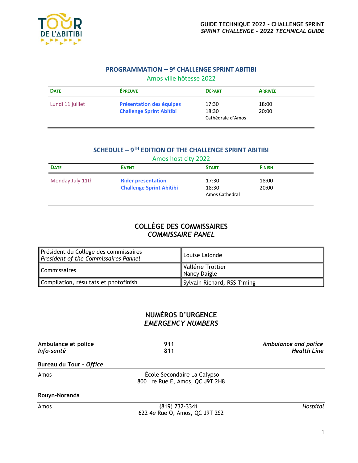

## **PROGRAMMATION – 9 <sup>e</sup> CHALLENGE SPRINT ABITIBI** Amos ville hôtesse 2022

| <b>Présentation des équipes</b><br><b>Challenge Sprint Abitibi</b> | 17:30<br>18:30 | 18:00<br>20:00    |
|--------------------------------------------------------------------|----------------|-------------------|
|                                                                    |                | Cathédrale d'Amos |

## **SCHEDULE – 9 TH EDITION OF THE CHALLENGE SPRINT ABITIBI**

| Amos host city 2022 |                                                              |                                  |                |  |
|---------------------|--------------------------------------------------------------|----------------------------------|----------------|--|
| <b>DATE</b>         | <b>EVENT</b>                                                 | <b>START</b>                     | <b>FINISH</b>  |  |
| Monday July 11th    | <b>Rider presentation</b><br><b>Challenge Sprint Abitibi</b> | 17:30<br>18:30<br>Amos Cathedral | 18:00<br>20:00 |  |

## **COLLÈGE DES COMMISSAIRES** *COMMISSAIRE PANEL*

| Président du Collège des commissaires<br>President of the Commissaires Pannel | Louise Lalonde                    |
|-------------------------------------------------------------------------------|-----------------------------------|
| <b>Commissaires</b>                                                           | Vallérie Trottier<br>Nancy Daigle |
| Compilation, résultats et photofinish                                         | Sylvain Richard, RSS Timing       |

## **NUMÉROS D'URGENCE** *EMERGENCY NUMBERS*

| Ambulance et police | 911 | Ambulance and police |
|---------------------|-----|----------------------|
| Info-santé          | 811 | <b>Health Line</b>   |
|                     |     |                      |

### **Bureau du Tour –** *Office*

Amos École Secondaire La Calypso 800 1re Rue E, Amos, QC J9T 2H8

#### **Rouyn-Noranda**

Amos (819) 732-3341 *Hospital* 622 4e Rue O, Amos, QC J9T 2S2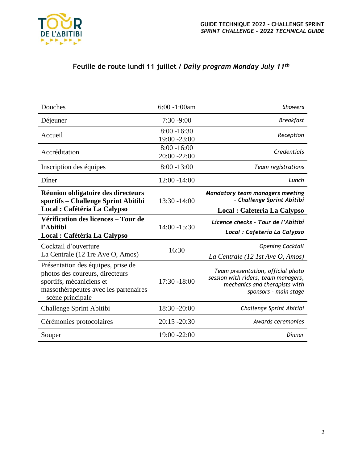

## **Feuille de route lundi 11 juillet /** *Daily program Monday July 11 th*

| $6:00 - 1:00$ am               | <b>Showers</b>                                                                                                                     |
|--------------------------------|------------------------------------------------------------------------------------------------------------------------------------|
| $7:30 - 9:00$                  | <b>Breakfast</b>                                                                                                                   |
| $8:00 - 16:30$<br>19:00 -23:00 | Reception                                                                                                                          |
| $8:00 - 16:00$<br>20:00 -22:00 | Credentials                                                                                                                        |
| $8:00 - 13:00$                 | Team registrations                                                                                                                 |
| $12:00 - 14:00$                | Lunch                                                                                                                              |
| 13:30 -14:00                   | Mandatory team managers meeting<br>- Challenge Sprint Abitibi                                                                      |
|                                | Local : Cafeteria La Calypso                                                                                                       |
|                                | Licence checks - Tour de l'Abitibi                                                                                                 |
|                                | Local : Cafeteria La Calypso                                                                                                       |
| 16:30                          | <b>Opening Cocktail</b><br>La Centrale (12 1st Ave O, Amos)                                                                        |
| 17:30 -18:00                   | Team presentation, official photo<br>session with riders, team managers,<br>mechanics and therapists with<br>sponsors - main stage |
| 18:30 -20:00                   | Challenge Sprint Abitibi                                                                                                           |
| $20:15 - 20:30$                | Awards ceremonies                                                                                                                  |
| 19:00 -22:00                   | Dinner                                                                                                                             |
|                                | 14:00 -15:30                                                                                                                       |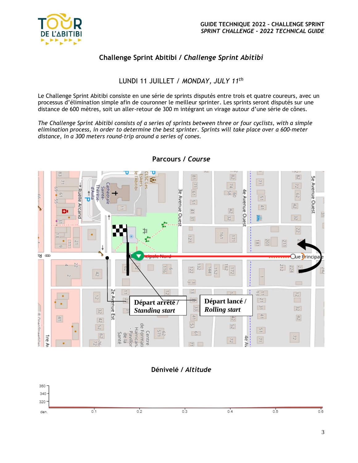

## **Challenge Sprint Abitibi /** *Challenge Sprint Abitibi*

## LUNDI 11 JUILLET / *MONDAY, JULY 11 th*

Le Challenge Sprint Abitibi consiste en une série de sprints disputés entre trois et quatre coureurs, avec un processus d'élimination simple afin de couronner le meilleur sprinter. Les sprints seront disputés sur une distance de 600 mètres, soit un aller-retour de 300 m intégrant un virage autour d'une série de cônes.

*The Challenge Sprint Abitibi consists of a series of sprints between three or four cyclists, with a simple elimination process, in order to determine the best sprinter. Sprints will take place over a 600-meter distance, in a 300 meters round-trip around a series of cones.*



## **Parcours /** *Course*

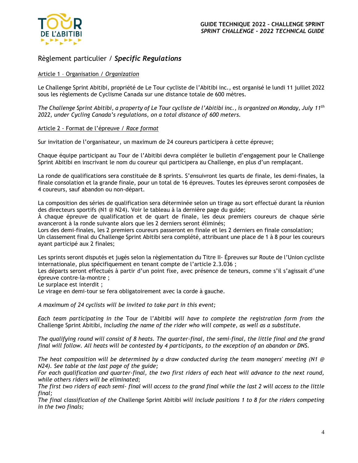

## Règlement particulier / *Specific Regulations*

### Article 1 – Organisation / *Organization*

Le Challenge Sprint Abitibi, propriété de Le Tour cycliste de l'Abitibi inc., est organisé le lundi 11 juillet 2022 sous les règlements de Cyclisme Canada sur une distance totale de 600 mètres.

*The Challenge Sprint Abitibi, a property of Le Tour cycliste de l'Abitibi inc., is organized on Monday, July 11 th 2022, under Cycling Canada's regulations, on a total distance of 600 meters.*

#### Article 2 - Format de l'épreuve / *Race format*

Sur invitation de l'organisateur, un maximum de 24 coureurs participera à cette épreuve;

Chaque équipe participant au Tour de l'Abitibi devra compléter le bulletin d'engagement pour le Challenge Sprint Abitibi en inscrivant le nom du coureur qui participera au Challenge, en plus d'un remplaçant.

La ronde de qualifications sera constituée de 8 sprints. S'ensuivront les quarts de finale, les demi-finales, la finale consolation et la grande finale, pour un total de 16 épreuves. Toutes les épreuves seront composées de 4 coureurs, sauf abandon ou non-départ.

La composition des séries de qualification sera déterminée selon un tirage au sort effectué durant la réunion des directeurs sportifs (N1 @ N24). Voir le tableau à la dernière page du guide;

À chaque épreuve de qualification et de quart de finale, les deux premiers coureurs de chaque série avanceront à la ronde suivante alors que les 2 derniers seront éliminés;

Lors des demi-finales, les 2 premiers coureurs passeront en finale et les 2 derniers en finale consolation; Un classement final du Challenge Sprint Abitibi sera complété, attribuant une place de 1 à 8 pour les coureurs ayant participé aux 2 finales;

Les sprints seront disputés et jugés selon la règlementation du Titre II- Épreuves sur Route de l'Union cycliste internationale, plus spécifiquement en tenant compte de l'article 2.3.036 ;

Les départs seront effectués à partir d'un point fixe, avec présence de teneurs, comme s'il s'agissait d'une épreuve contre-la-montre ;

Le surplace est interdit ;

Le virage en demi-tour se fera obligatoirement avec la corde à gauche.

*A maximum of 24 cyclists will be invited to take part in this event;*

*Each team participating in the* Tour de l'Abitibi *will have to complete the registration form from the*  Challenge Sprint Abitibi, *including the name of the rider who will compete, as well as a substitute.*

*The qualifying round will consist of 8 heats. The quarter-final, the semi-final, the little final and the grand final will follow. All heats will be contested by 4 participants, to the exception of an abandon or DNS.*

*The heat composition will be determined by a draw conducted during the team managers' meeting (N1 @ N24). See table at the last page of the guide;*

*For each qualification and quarter-final, the two first riders of each heat will advance to the next round, while others riders will be eliminated;*

*The first two riders of each semi- final will access to the grand final while the last 2 will access to the little final;*

*The final classification of the* Challenge Sprint Abitibi *will include positions 1 to 8 for the riders competing in the two finals;*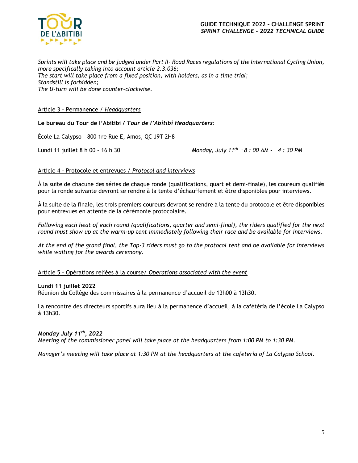

*Sprints will take place and be judged under Part II- Road Races regulations of the International Cycling Union, more specifically taking into account article 2.3.036; The start will take place from a fixed position, with holders, as in a time trial; Standstill is forbidden; The U-turn will be done counter-clockwise.*

#### Article 3 - Permanence / *Headquarters*

**Le bureau du Tour de l'Abitibi /** *Tour de l'Abitibi Headquarters*:

École La Calypso – 800 1re Rue E, Amos, QC J9T 2H8

Lundi 11 juillet 8 h 00 – 16 h 30

*Monday, July 11th - 8 : 00 AM – 4 : 30 PM*

#### Article 4 - Protocole et entrevues / *Protocol and interviews*

À la suite de chacune des séries de chaque ronde (qualifications, quart et demi-finale), les coureurs qualifiés pour la ronde suivante devront se rendre à la tente d'échauffement et être disponibles pour interviews.

À la suite de la finale, les trois premiers coureurs devront se rendre à la tente du protocole et être disponibles pour entrevues en attente de la cérémonie protocolaire.

*Following each heat of each round (qualifications, quarter and semi-final), the riders qualified for the next round must show up at the warm-up tent immediately following their race and be available for interviews.*

*At the end of the grand final, the Top-3 riders must go to the protocol tent and be available for interviews while waiting for the awards ceremony.*

#### Article 5 - Opérations reliées à la course/ *Operations associated with the event*

#### **Lundi 11 juillet 2022**

Réunion du Collège des commissaires à la permanence d'accueil de 13h00 à 13h30.

La rencontre des directeurs sportifs aura lieu à la permanence d'accueil, à la cafétéria de l'école La Calypso à 13h30.

#### *Monday July 11 th, 2022*

*Meeting of the commissioner panel will take place at the headquarters from 1:00 PM to 1:30 PM.*

*Manager's meeting will take place at 1:30 PM at the headquarters at the cafeteria of La Calypso School.*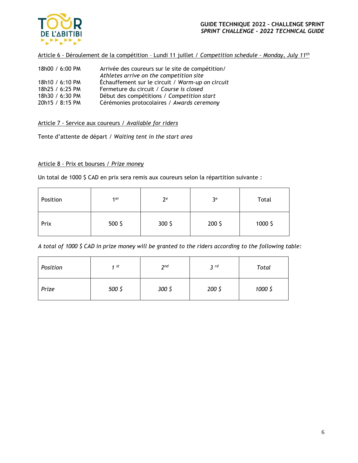

Article 6 - Déroulement de la compétition – Lundi 11 juillet / *Competition schedule – Monday, July 11 th*

| 18h00 / 6:00 PM | Arrivée des coureurs sur le site de compétition/<br>Athletes arrive on the competition site |
|-----------------|---------------------------------------------------------------------------------------------|
| 18h10 / 6:10 PM | Échauffement sur le circuit / Warm-up on circuit                                            |
| 18h25 / 6:25 PM | Fermeture du circuit / Course is closed                                                     |
| 18h30 / 6:30 PM | Début des compétitions / Competition start                                                  |
| 20h15 / 8:15 PM | Cérémonies protocolaires / Awards ceremony                                                  |

#### Article 7 - Service aux coureurs / *Available for riders*

Tente d'attente de départ / *Waiting tent in the start area*

### Article 8 - Prix et bourses / *Prize money*

Un total de 1000 \$ CAD en prix sera remis aux coureurs selon la répartition suivante :

| Position | 1 er             | $2^e$  | 3 <sup>e</sup> | Total   |
|----------|------------------|--------|----------------|---------|
| Prix     | 500 <sup>5</sup> | 300 \$ | 200 \$         | 1000 \$ |

*A total of 1000 \$ CAD in prize money will be granted to the riders according to the following table:*

| Position | 1st    | 2 <sub>nd</sub> | 3 <sup>rd</sup> | Total   |
|----------|--------|-----------------|-----------------|---------|
| Prize    | 500 \$ | 300 \$          | 200 \$          | 1000 \$ |